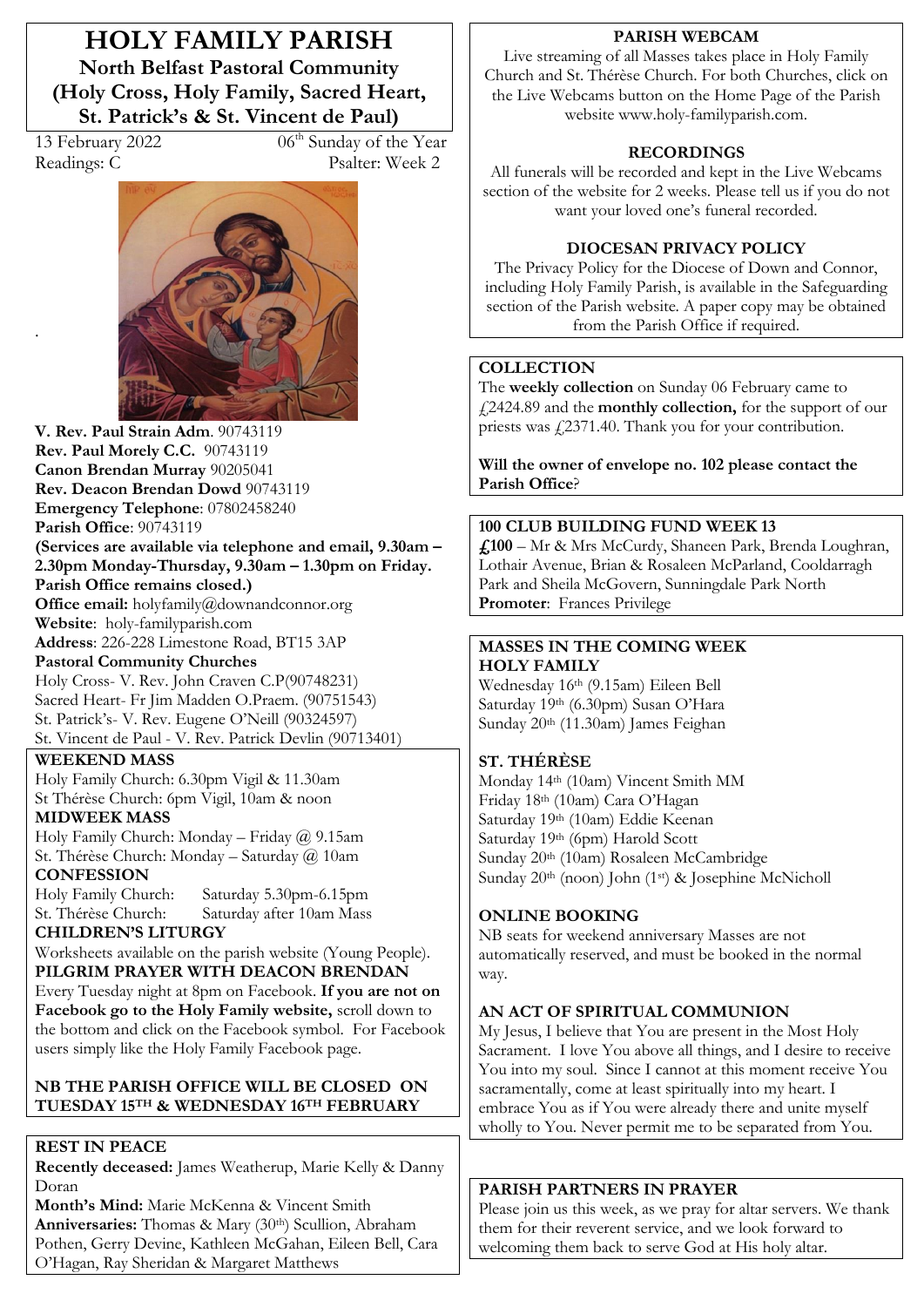**HOLY FAMILY PARISH North Belfast Pastoral Community (Holy Cross, Holy Family, Sacred Heart,**  St. Patrick's & St. Vincent de Paul)

.

13 February 2022 06<sup>th</sup> Sunday of the Year Readings: C Psalter: Week 2



**V. Rev. Paul Strain Adm**. 90743119 **Rev. Paul Morely C.C.** 90743119 **Canon Brendan Murray** 90205041 **Rev. Deacon Brendan Dowd** 90743119 **Emergency Telephone**: 07802458240 **Parish Office**: 90743119 **(Services are available via telephone and email, 9.30am –** 2.30pm Monday-Thursday, 9.30am – 1.30pm on Friday. **Parish Office remains closed.) Office email:** holyfamily@downandconnor.org **Website**: holy-familyparish.com **Address**: 226-228 Limestone Road, BT15 3AP **Pastoral Community Churches** Holy Cross- V. Rev. John Craven C.P(90748231) Sacred Heart- Fr Jim Madden O.Praem. (90751543) St. Patrick's- V. Rev. Eugene O'Neill (90324597) St. Vincent de Paul - V. Rev. Patrick Devlin (90713401)

#### **WEEKEND MASS**

Holy Family Church: 6.30pm Vigil & 11.30am St Thérèse Church: 6pm Vigil, 10am & noon **MIDWEEK MASS**

Holy Family Church: Monday – Friday @ 9.15am St. Thérèse Church: Monday – Saturday @ 10am

**CONFESSION**<br>Holy Family Church: Saturday 5.30pm-6.15pm St. Thérèse Church: Saturday after 10am Mass

**CHILDREN·S LITURGY**  Worksheets available on the parish website (Young People).

**PILGRIM PRAYER WITH DEACON BRENDAN** Every Tuesday night at 8pm on Facebook. **If you are not on Facebook go to the Holy Family website,** scroll down to the bottom and click on the Facebook symbol. For Facebook users simply like the Holy Family Facebook page.

#### **NB THE PARISH OFFICE WILL BE CLOSED ON TUESDAY 15TH & WEDNESDAY 16TH FEBRUARY**

## **REST IN PEACE**

**Recently deceased:** James Weatherup, Marie Kelly & Danny Doran

Month's Mind: Marie McKenna & Vincent Smith Anniversaries: Thomas & Mary (30<sup>th</sup>) Scullion, Abraham Pothen, Gerry Devine, Kathleen McGahan, Eileen Bell, Cara O·Hagan, Ray Sheridan & Margaret Matthews

#### **PARISH WEBCAM**

Live streaming of all Masses takes place in Holy Family Church and St. Thérèse Church. For both Churches, click on the Live Webcams button on the Home Page of the Parish website www.holy-familyparish.com.

#### **RECORDINGS**

All funerals will be recorded and kept in the Live Webcams section of the website for 2 weeks. Please tell us if you do not want your loved one's funeral recorded.

#### **DIOCESAN PRIVACY POLICY**

The Privacy Policy for the Diocese of Down and Connor, including Holy Family Parish, is available in the Safeguarding section of the Parish website. A paper copy may be obtained from the Parish Office if required.

#### **COLLECTION**

The **weekly collection** on Sunday 06 February came to £2424.89 and the **monthly collection,** for the support of our priests was £2371.40. Thank you for your contribution.

**Will the owner of envelope no. 102 please contact the Parish Office**?

#### **100 CLUB BUILDING FUND WEEK 13**

**£100** – Mr & Mrs McCurdy, Shaneen Park, Brenda Loughran, Lothair Avenue, Brian & Rosaleen McParland, Cooldarragh Park and Sheila McGovern, Sunningdale Park North **Promoter**: Frances Privilege

#### **MASSES IN THE COMING WEEK HOLY FAMILY**

Wednesday 16th (9.15am) Eileen Bell Saturday 19th (6.30pm) Susan O'Hara Sunday 20th (11.30am) James Feighan

## **ST. THÉRÈSE**

Monday 14th (10am) Vincent Smith MM Friday 18th (10am) Cara O'Hagan Saturday 19th (10am) Eddie Keenan Saturday 19th (6pm) Harold Scott Sunday 20th (10am) Rosaleen McCambridge Sunday 20<sup>th</sup> (noon) John (1<sup>st</sup>) & Josephine McNicholl

## **ONLINE BOOKING**

NB seats for weekend anniversary Masses are not automatically reserved, and must be booked in the normal way.

## **AN ACT OF SPIRITUAL COMMUNION**

My Jesus, I believe that You are present in the Most Holy Sacrament. I love You above all things, and I desire to receive You into my soul. Since I cannot at this moment receive You sacramentally, come at least spiritually into my heart. I embrace You as if You were already there and unite myself wholly to You. Never permit me to be separated from You.

## **PARISH PARTNERS IN PRAYER**

Please join us this week, as we pray for altar servers. We thank them for their reverent service, and we look forward to welcoming them back to serve God at His holy altar.